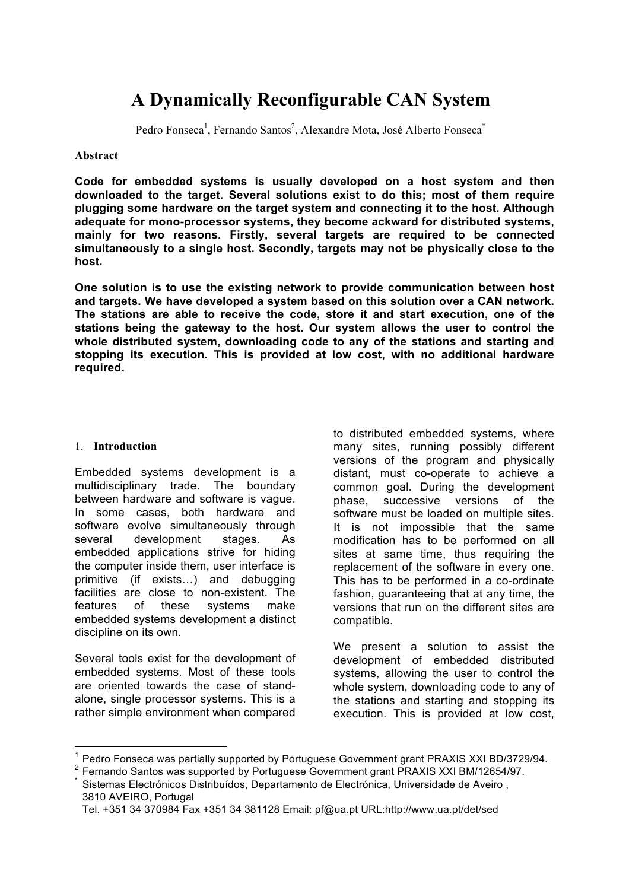# **A Dynamically Reconfigurable CAN System**

Pedro Fonseca<sup>1</sup>, Fernando Santos<sup>2</sup>, Alexandre Mota, José Alberto Fonseca<sup>\*</sup>

#### **Abstract**

**Code for embedded systems is usually developed on a host system and then downloaded to the target. Several solutions exist to do this; most of them require plugging some hardware on the target system and connecting it to the host. Although adequate for mono-processor systems, they become ackward for distributed systems, mainly for two reasons. Firstly, several targets are required to be connected simultaneously to a single host. Secondly, targets may not be physically close to the host.**

**One solution is to use the existing network to provide communication between host and targets. We have developed a system based on this solution over a CAN network. The stations are able to receive the code, store it and start execution, one of the stations being the gateway to the host. Our system allows the user to control the whole distributed system, downloading code to any of the stations and starting and stopping its execution. This is provided at low cost, with no additional hardware required.** 

#### 1. **Introduction**

Embedded systems development is a multidisciplinary trade. The boundary between hardware and software is vague. In some cases, both hardware and software evolve simultaneously through several development stages. As embedded applications strive for hiding the computer inside them, user interface is primitive (if exists…) and debugging facilities are close to non-existent. The features of these systems make embedded systems development a distinct discipline on its own.

Several tools exist for the development of embedded systems. Most of these tools are oriented towards the case of standalone, single processor systems. This is a rather simple environment when compared

to distributed embedded systems, where many sites, running possibly different versions of the program and physically distant, must co-operate to achieve a common goal. During the development phase, successive versions of the software must be loaded on multiple sites. It is not impossible that the same modification has to be performed on all sites at same time, thus requiring the replacement of the software in every one. This has to be performed in a co-ordinate fashion, guaranteeing that at any time, the versions that run on the different sites are compatible.

We present a solution to assist the development of embedded distributed systems, allowing the user to control the whole system, downloading code to any of the stations and starting and stopping its execution. This is provided at low cost,

 $^1$  Pedro Fonseca was partially supported by Portuguese Government grant PRAXIS XXI BD/3729/94.

<sup>&</sup>lt;sup>2</sup> Fernando Santos was supported by Portuguese Government grant PRAXIS XXI BM/12654/97.<br><sup>\*</sup> Sistemas Electrónicos Distribuídos, Departamento de Electrónica, Universidade de Aveiro ,

<sup>3810</sup> AVEIRO, Portugal Tel. +351 34 370984 Fax +351 34 381128 Email: pf@ua.pt URL:http://www.ua.pt/det/sed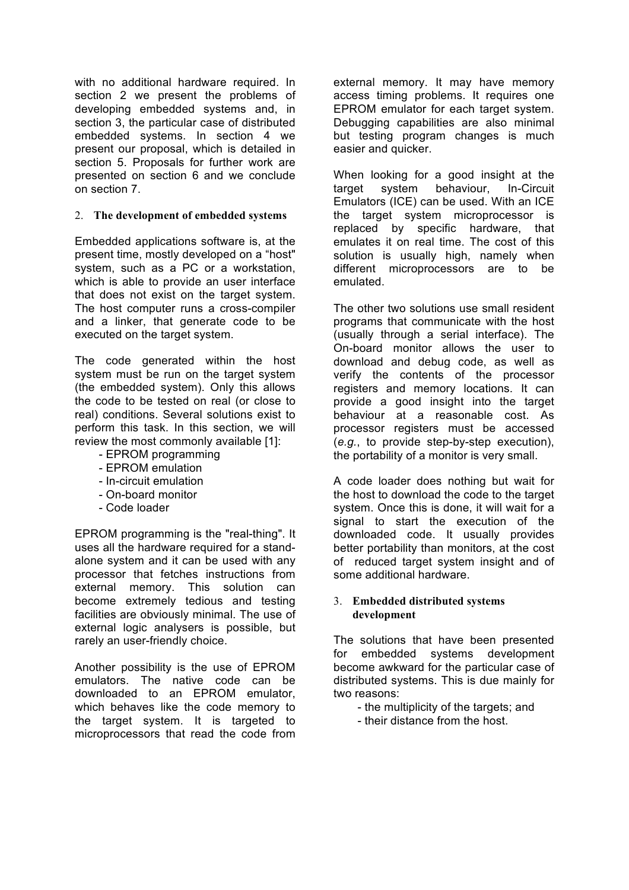with no additional hardware required. In section 2 we present the problems of developing embedded systems and, in section 3, the particular case of distributed embedded systems. In section 4 we present our proposal, which is detailed in section 5. Proposals for further work are presented on section 6 and we conclude on section 7.

## 2. **The development of embedded systems**

Embedded applications software is, at the present time, mostly developed on a "host" system, such as a PC or a workstation, which is able to provide an user interface that does not exist on the target system. The host computer runs a cross-compiler and a linker, that generate code to be executed on the target system.

The code generated within the host system must be run on the target system (the embedded system). Only this allows the code to be tested on real (or close to real) conditions. Several solutions exist to perform this task. In this section, we will review the most commonly available [1]:

- EPROM programming
- EPROM emulation
- In-circuit emulation
- On-board monitor
- Code loader

EPROM programming is the "real-thing". It uses all the hardware required for a standalone system and it can be used with any processor that fetches instructions from external memory. This solution can become extremely tedious and testing facilities are obviously minimal. The use of external logic analysers is possible, but rarely an user-friendly choice.

Another possibility is the use of EPROM emulators. The native code can be downloaded to an EPROM emulator, which behaves like the code memory to the target system. It is targeted to microprocessors that read the code from

external memory. It may have memory access timing problems. It requires one EPROM emulator for each target system. Debugging capabilities are also minimal but testing program changes is much easier and quicker.

When looking for a good insight at the target system behaviour, In-Circuit Emulators (ICE) can be used. With an ICE the target system microprocessor is replaced by specific hardware, that emulates it on real time. The cost of this solution is usually high, namely when different microprocessors are to be emulated.

The other two solutions use small resident programs that communicate with the host (usually through a serial interface). The On-board monitor allows the user to download and debug code, as well as verify the contents of the processor registers and memory locations. It can provide a good insight into the target behaviour at a reasonable cost. As processor registers must be accessed (*e.g.*, to provide step-by-step execution), the portability of a monitor is very small.

A code loader does nothing but wait for the host to download the code to the target system. Once this is done, it will wait for a signal to start the execution of the downloaded code. It usually provides better portability than monitors, at the cost of reduced target system insight and of some additional hardware.

#### 3. **Embedded distributed systems development**

The solutions that have been presented for embedded systems development become awkward for the particular case of distributed systems. This is due mainly for two reasons:

- the multiplicity of the targets; and
- their distance from the host.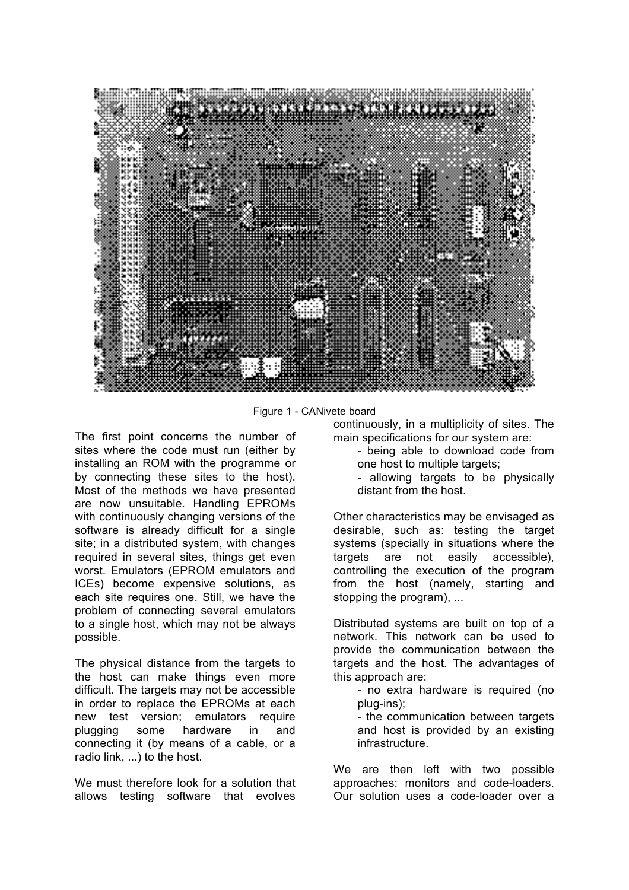

Figure 1 - CANivete board

The first point concerns the number of sites where the code must run (either by installing an ROM with the programme or by connecting these sites to the host). Most of the methods we have presented are now unsuitable. Handling EPROMs with continuously changing versions of the software is already difficult for a single site; in a distributed system, with changes required in several sites, things get even worst. Emulators (EPROM emulators and ICEs) become expensive solutions, as each site requires one. Still, we have the problem of connecting several emulators to a single host, which may not be always possible.

The physical distance from the targets to the host can make things even more difficult. The targets may not be accessible in order to replace the EPROMs at each new test version; emulators require plugging some hardware in and connecting it (by means of a cable, or a radio link, ...) to the host.

We must therefore look for a solution that allows testing software that evolves continuously, in a multiplicity of sites. The main specifications for our system are:

- being able to download code from one host to multiple targets;
- allowing targets to be physically distant from the host.

Other characteristics may be envisaged as desirable, such as: testing the target systems (specially in situations where the targets are not easily accessible), controlling the execution of the program from the host (namely, starting and stopping the program), ...

Distributed systems are built on top of a network. This network can be used to provide the communication between the targets and the host. The advantages of this approach are:

> - no extra hardware is required (no plug-ins);

> - the communication between targets and host is provided by an existing infrastructure.

We are then left with two possible approaches: monitors and code-loaders. Our solution uses a code-loader over a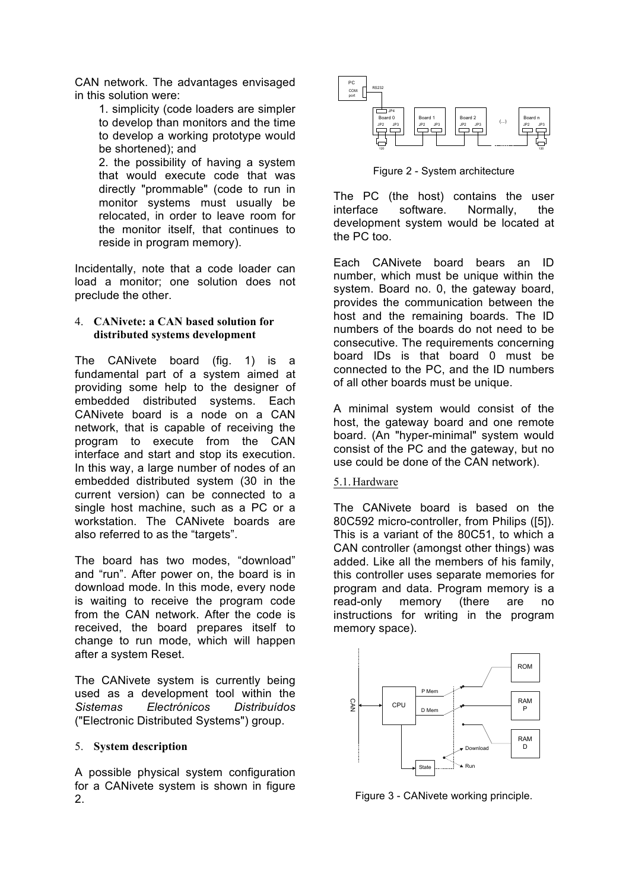CAN network. The advantages envisaged in this solution were:

> 1. simplicity (code loaders are simpler to develop than monitors and the time to develop a working prototype would be shortened); and

> 2. the possibility of having a system that would execute code that was directly "prommable" (code to run in monitor systems must usually be relocated, in order to leave room for the monitor itself, that continues to reside in program memory).

Incidentally, note that a code loader can load a monitor; one solution does not preclude the other.

## 4. **CANivete: a CAN based solution for distributed systems development**

The CANivete board (fig. 1) is a fundamental part of a system aimed at providing some help to the designer of embedded distributed systems. Each CANivete board is a node on a CAN network, that is capable of receiving the program to execute from the CAN interface and start and stop its execution. In this way, a large number of nodes of an embedded distributed system (30 in the current version) can be connected to a single host machine, such as a PC or a workstation. The CANivete boards are also referred to as the "targets".

The board has two modes, "download" and "run". After power on, the board is in download mode. In this mode, every node is waiting to receive the program code from the CAN network. After the code is received, the board prepares itself to change to run mode, which will happen after a system Reset.

The CANivete system is currently being used as a development tool within the *Sistemas Electrónicos Distribuídos*  ("Electronic Distributed Systems") group.

#### 5. **System description**

A possible physical system configuration for a CANivete system is shown in figure 2.



Figure 2 - System architecture

The PC (the host) contains the user interface software. Normally, the development system would be located at the PC too.

Each CANivete board bears an ID number, which must be unique within the system. Board no. 0, the gateway board, provides the communication between the host and the remaining boards. The ID numbers of the boards do not need to be consecutive. The requirements concerning board IDs is that board 0 must be connected to the PC, and the ID numbers of all other boards must be unique.

A minimal system would consist of the host, the gateway board and one remote board. (An "hyper-minimal" system would consist of the PC and the gateway, but no use could be done of the CAN network).

## 5.1.Hardware

The CANivete board is based on the 80C592 micro-controller, from Philips ([5]). This is a variant of the 80C51, to which a CAN controller (amongst other things) was added. Like all the members of his family, this controller uses separate memories for program and data. Program memory is a read-only memory (there are no instructions for writing in the program memory space).



Figure 3 - CANivete working principle.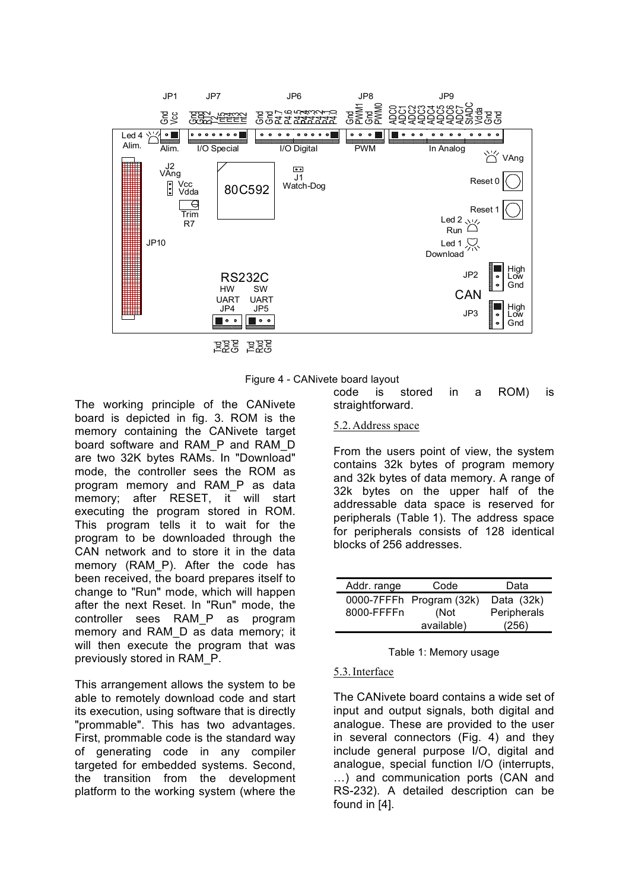



The working principle of the CANivete board is depicted in fig. 3. ROM is the memory containing the CANivete target board software and RAM\_P and RAM\_D are two 32K bytes RAMs. In "Download" mode, the controller sees the ROM as program memory and RAM\_P as data memory; after RESET, it will start executing the program stored in ROM. This program tells it to wait for the program to be downloaded through the CAN network and to store it in the data memory (RAM P). After the code has been received, the board prepares itself to change to "Run" mode, which will happen after the next Reset. In "Run" mode, the controller sees RAM\_P as program memory and RAM\_D as data memory; it will then execute the program that was previously stored in RAM\_P.

This arrangement allows the system to be able to remotely download code and start its execution, using software that is directly "prommable". This has two advantages. First, prommable code is the standard way of generating code in any compiler targeted for embedded systems. Second, the transition from the development platform to the working system (where the

code is stored in a ROM) is straightforward.

### 5.2.Address space

From the users point of view, the system contains 32k bytes of program memory and 32k bytes of data memory. A range of 32k bytes on the upper half of the addressable data space is reserved for peripherals (Table 1). The address space for peripherals consists of 128 identical blocks of 256 addresses.

| Addr. range | Code                     | Data         |
|-------------|--------------------------|--------------|
|             | 0000-7FFFh Program (32k) | Data $(32k)$ |
| 8000-FFFFn  | (Not                     | Peripherals  |
|             | available)               | (256)        |

Table 1: Memory usage

# 5.3.Interface

The CANivete board contains a wide set of input and output signals, both digital and analogue. These are provided to the user in several connectors (Fig. 4) and they include general purpose I/O, digital and analogue, special function I/O (interrupts, …) and communication ports (CAN and RS-232). A detailed description can be found in [4].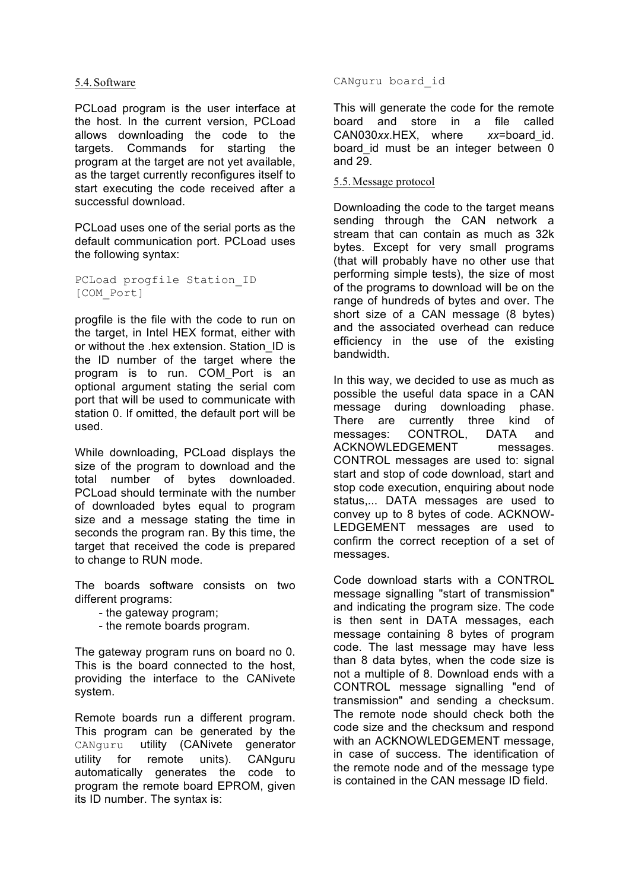## 5.4.Software

PCLoad program is the user interface at the host. In the current version, PCLoad allows downloading the code to the targets. Commands for starting the program at the target are not yet available, as the target currently reconfigures itself to start executing the code received after a successful download.

PCLoad uses one of the serial ports as the default communication port. PCLoad uses the following syntax:

PCLoad progfile Station\_ID [COM\_Port]

progfile is the file with the code to run on the target, in Intel HEX format, either with or without the .hex extension. Station\_ID is the ID number of the target where the program is to run. COM\_Port is an optional argument stating the serial com port that will be used to communicate with station 0. If omitted, the default port will be used.

While downloading, PCLoad displays the size of the program to download and the total number of bytes downloaded. PCLoad should terminate with the number of downloaded bytes equal to program size and a message stating the time in seconds the program ran. By this time, the target that received the code is prepared to change to RUN mode.

The boards software consists on two different programs:

- the gateway program;
- the remote boards program.

The gateway program runs on board no 0. This is the board connected to the host, providing the interface to the CANivete system.

Remote boards run a different program. This program can be generated by the CANguru utility (CANivete generator utility for remote units). CANguru automatically generates the code to program the remote board EPROM, given its ID number. The syntax is:

CANguru board\_id

This will generate the code for the remote board and store in a file called CAN030*xx*.HEX, where *xx*=board\_id. board id must be an integer between 0 and 29.

## 5.5.Message protocol

Downloading the code to the target means sending through the CAN network a stream that can contain as much as 32k bytes. Except for very small programs (that will probably have no other use that performing simple tests), the size of most of the programs to download will be on the range of hundreds of bytes and over. The short size of a CAN message (8 bytes) and the associated overhead can reduce efficiency in the use of the existing bandwidth.

In this way, we decided to use as much as possible the useful data space in a CAN message during downloading phase. There are currently three kind of messages: CONTROL, DATA and ACKNOWLEDGEMENT messages. CONTROL messages are used to: signal start and stop of code download, start and stop code execution, enquiring about node status,... DATA messages are used to convey up to 8 bytes of code. ACKNOW-LEDGEMENT messages are used to confirm the correct reception of a set of messages.

Code download starts with a CONTROL message signalling "start of transmission" and indicating the program size. The code is then sent in DATA messages, each message containing 8 bytes of program code. The last message may have less than 8 data bytes, when the code size is not a multiple of 8. Download ends with a CONTROL message signalling "end of transmission" and sending a checksum. The remote node should check both the code size and the checksum and respond with an ACKNOWLEDGEMENT message, in case of success. The identification of the remote node and of the message type is contained in the CAN message ID field.